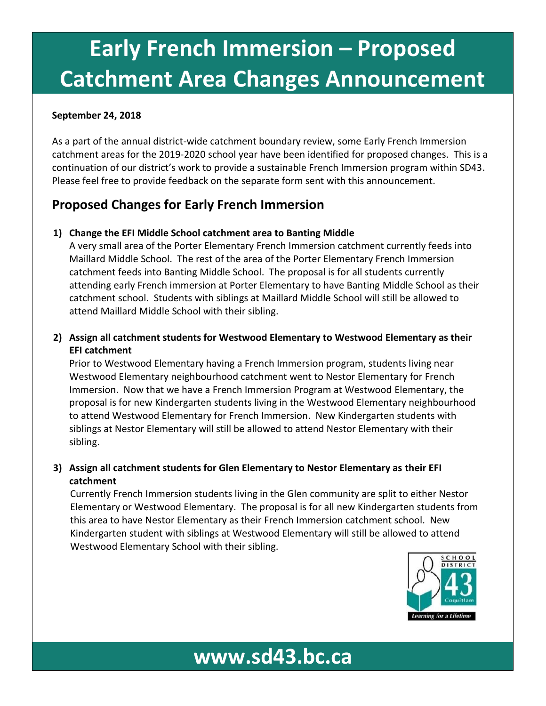# **Early French Immersion – Proposed Catchment Area Changes Announcement**

#### **September 24, 2018**

As a part of the annual district-wide catchment boundary review, some Early French Immersion catchment areas for the 2019-2020 school year have been identified for proposed changes. This is a continuation of our district's work to provide a sustainable French Immersion program within SD43. Please feel free to provide feedback on the separate form sent with this announcement.

### **Proposed Changes for Early French Immersion**

#### **1) Change the EFI Middle School catchment area to Banting Middle**

A very small area of the Porter Elementary French Immersion catchment currently feeds into Maillard Middle School. The rest of the area of the Porter Elementary French Immersion catchment feeds into Banting Middle School. The proposal is for all students currently attending early French immersion at Porter Elementary to have Banting Middle School as their catchment school. Students with siblings at Maillard Middle School will still be allowed to attend Maillard Middle School with their sibling.

### **2) Assign all catchment students for Westwood Elementary to Westwood Elementary as their EFI catchment**

Prior to Westwood Elementary having a French Immersion program, students living near Westwood Elementary neighbourhood catchment went to Nestor Elementary for French Immersion. Now that we have a French Immersion Program at Westwood Elementary, the proposal is for new Kindergarten students living in the Westwood Elementary neighbourhood to attend Westwood Elementary for French Immersion. New Kindergarten students with siblings at Nestor Elementary will still be allowed to attend Nestor Elementary with their sibling.

#### **3) Assign all catchment students for Glen Elementary to Nestor Elementary as their EFI catchment**

Currently French Immersion students living in the Glen community are split to either Nestor Elementary or Westwood Elementary. The proposal is for all new Kindergarten students from this area to have Nestor Elementary as their French Immersion catchment school. New Kindergarten student with siblings at Westwood Elementary will still be allowed to attend Westwood Elementary School with their sibling.

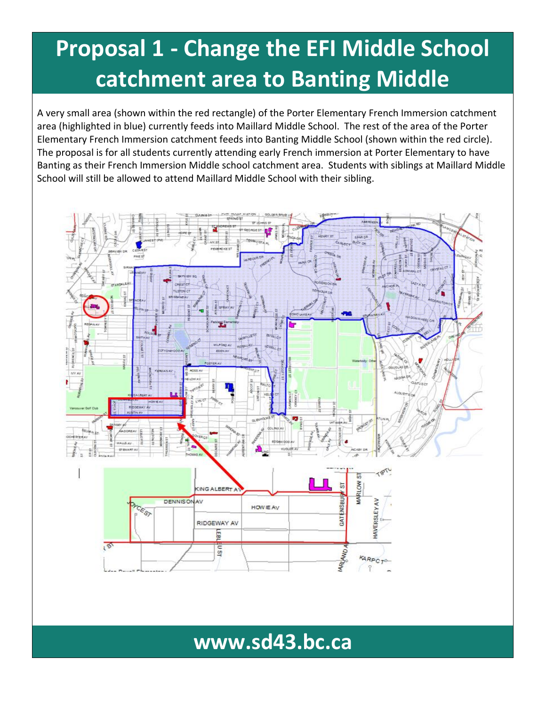## **Proposal 1 - Change the EFI Middle School catchment area to Banting Middle**

A very small area (shown within the red rectangle) of the Porter Elementary French Immersion catchment area (highlighted in blue) currently feeds into Maillard Middle School. The rest of the area of the Porter Elementary French Immersion catchment feeds into Banting Middle School (shown within the red circle). The proposal is for all students currently attending early French immersion at Porter Elementary to have Banting as their French Immersion Middle school catchment area. Students with siblings at Maillard Middle School will still be allowed to attend Maillard Middle School with their sibling.

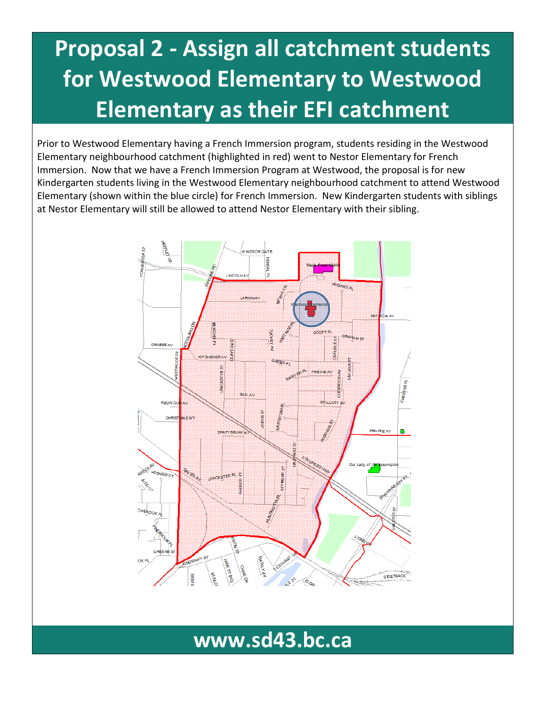## **Proposal 2 - Assign all catchment students for Westwood Elementary to Westwood Elementary as their EFI catchment**

Prior to Westwood Elementary having a French Immersion program, students residing in the Westwood Elementary neighbourhood catchment (highlighted in red) went to Nestor Elementary for French Immersion. Now that we have a French Immersion Program at Westwood, the proposal is for new Kindergarten students living in the Westwood Elementary neighbourhood catchment to attend Westwood Elementary (shown within the blue circle) for French Immersion. New Kindergarten students with siblings at Nestor Elementary will still be allowed to attend Nestor Elementary with their sibling.